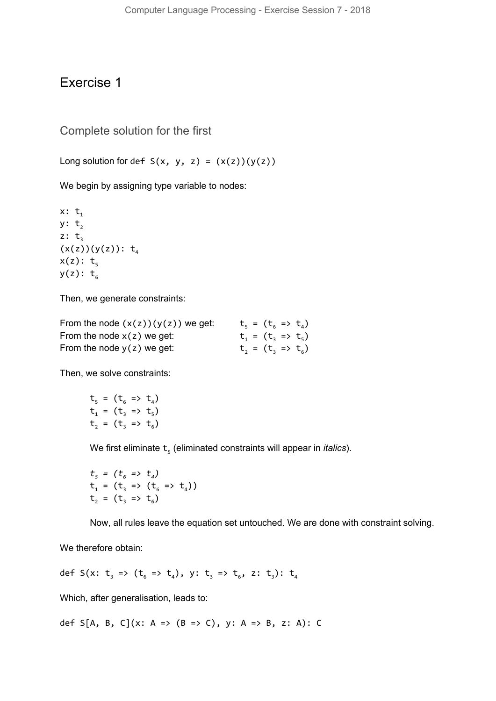## Exercise 1

Complete solution for the first

Long solution for def  $S(x, y, z) = (x(z))(y(z))$ 

We begin by assigning type variable to nodes:

 $x: t_1$ y:  $t_2$ z:  $t<sub>3</sub>$  $(x(z))(y(z))$ : t<sub>4</sub>  $x(z): t_{5}$  $y(z): t_6$ 

Then, we generate constraints:

| From the node $(x(z))(y(z))$ we get: |  | $t_5 = (t_6 \Rightarrow t_4)$ |  |
|--------------------------------------|--|-------------------------------|--|
| From the node $x(z)$ we get:         |  | $t_1 = (t_2 \Rightarrow t_5)$ |  |
| From the node $y(z)$ we get:         |  | $t_2 = (t_3 \Rightarrow t_6)$ |  |

Then, we solve constraints:

$$
t_5 = (t_6 \Rightarrow t_4)
$$
  
\n $t_1 = (t_3 \Rightarrow t_5)$   
\n $t_2 = (t_3 \Rightarrow t_6)$ 

We first eliminate  $\mathsf{t}_\mathfrak{s}$  (eliminated constraints will appear in *italics*).

$$
t_{5} = (t_{6} \Rightarrow t_{4})
$$
  
\n
$$
t_{1} = (t_{3} \Rightarrow (t_{6} \Rightarrow t_{4}))
$$
  
\n
$$
t_{2} = (t_{3} \Rightarrow t_{6})
$$

Now, all rules leave the equation set untouched. We are done with constraint solving.

We therefore obtain:

def S(x:  $t_3$  => ( $t_6$  =>  $t_4$ ), y:  $t_3$  =>  $t_6$ , z:  $t_3$ ):  $t_4$ 

Which, after generalisation, leads to:

def S[A, B, C](x: A => (B => C), y: A => B, z: A): C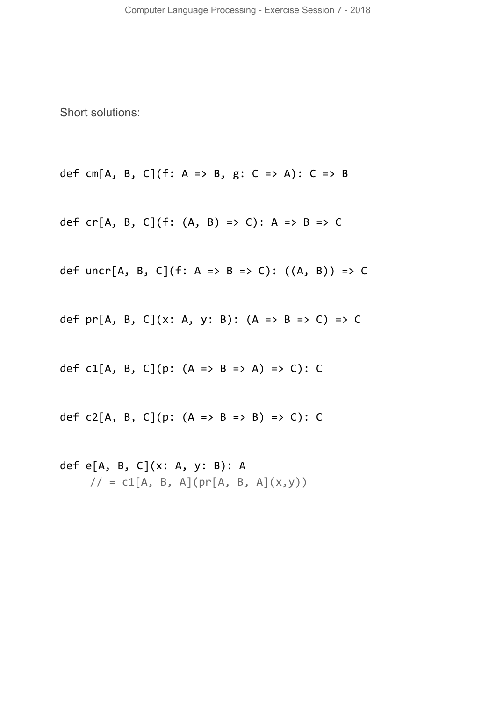Short solutions:

def cm[A, B, C](f: A => B, g: C => A): C => B

def cr[A, B, C](f:  $(A, B)$  => C): A => B => C

def uncr[A, B, C](f: A => B => C):  $((A, B))$  => C

def  $pr[A, B, C](x: A, y: B)$ :  $(A \Rightarrow B \Rightarrow C) \Rightarrow C$ 

def c1[A, B, C](p:  $(A \Rightarrow B \Rightarrow A) \Rightarrow C$ ): C

def  $c2[A, B, C](p: (A \Rightarrow B \Rightarrow B) \Rightarrow C): C$ 

def e[A, B, C](x: A, y: B): A  $\frac{1}{2}$  = c1[A, B, A](pr[A, B, A](x,y))